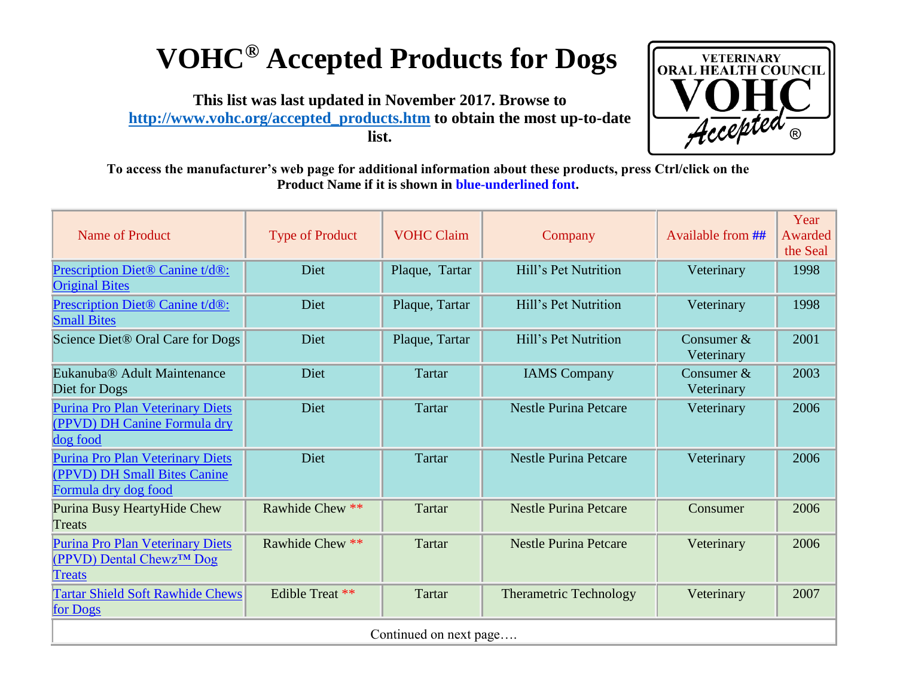## **VOHC® Accepted Products for Dogs**

**This list was last updated in November 2017. Browse to [http://www.vohc.org/accepted\\_products.htm](http://www.vohc.org/accepted_products.htm) to obtain the most up-to-date list.** 



**To access the manufacturer's web page for additional information about these products, press Ctrl/click on the Product Name if it is shown in blue-underlined font.** 

| <b>Name of Product</b>                                                                              | <b>Type of Product</b> | <b>VOHC Claim</b> | Company                       | Available from ##          | Year<br>Awarded<br>the Seal |  |  |  |
|-----------------------------------------------------------------------------------------------------|------------------------|-------------------|-------------------------------|----------------------------|-----------------------------|--|--|--|
| Prescription Diet® Canine t/d®:<br><b>Original Bites</b>                                            | Diet                   | Plaque, Tartar    | Hill's Pet Nutrition          | Veterinary                 | 1998                        |  |  |  |
| Prescription Diet® Canine t/d®:<br><b>Small Bites</b>                                               | Diet                   | Plaque, Tartar    | Hill's Pet Nutrition          | Veterinary                 | 1998                        |  |  |  |
| Science Diet® Oral Care for Dogs                                                                    | Diet                   | Plaque, Tartar    | Hill's Pet Nutrition          | Consumer $&$<br>Veterinary | 2001                        |  |  |  |
| Eukanuba® Adult Maintenance<br>Diet for Dogs                                                        | Diet                   | <b>Tartar</b>     | <b>IAMS</b> Company           | Consumer $&$<br>Veterinary | 2003                        |  |  |  |
| Purina Pro Plan Veterinary Diets<br>(PPVD) DH Canine Formula dry<br>dog food                        | Diet                   | <b>Tartar</b>     | <b>Nestle Purina Petcare</b>  | Veterinary                 | 2006                        |  |  |  |
| <b>Purina Pro Plan Veterinary Diets</b><br>(PPVD) DH Small Bites Canine<br>Formula dry dog food     | Diet                   | <b>Tartar</b>     | <b>Nestle Purina Petcare</b>  | Veterinary                 | 2006                        |  |  |  |
| Purina Busy HeartyHide Chew<br>Treats                                                               | Rawhide Chew **        | <b>Tartar</b>     | <b>Nestle Purina Petcare</b>  | Consumer                   | 2006                        |  |  |  |
| <b>Purina Pro Plan Veterinary Diets</b><br>$(PPVD)$ Dental Chewz <sup>TM</sup> Dog<br><b>Treats</b> | Rawhide Chew **        | Tartar            | <b>Nestle Purina Petcare</b>  | Veterinary                 | 2006                        |  |  |  |
| <b>Tartar Shield Soft Rawhide Chews</b><br>for Dogs                                                 | Edible Treat **        | Tartar            | <b>Therametric Technology</b> | Veterinary                 | 2007                        |  |  |  |
| Continued on next page                                                                              |                        |                   |                               |                            |                             |  |  |  |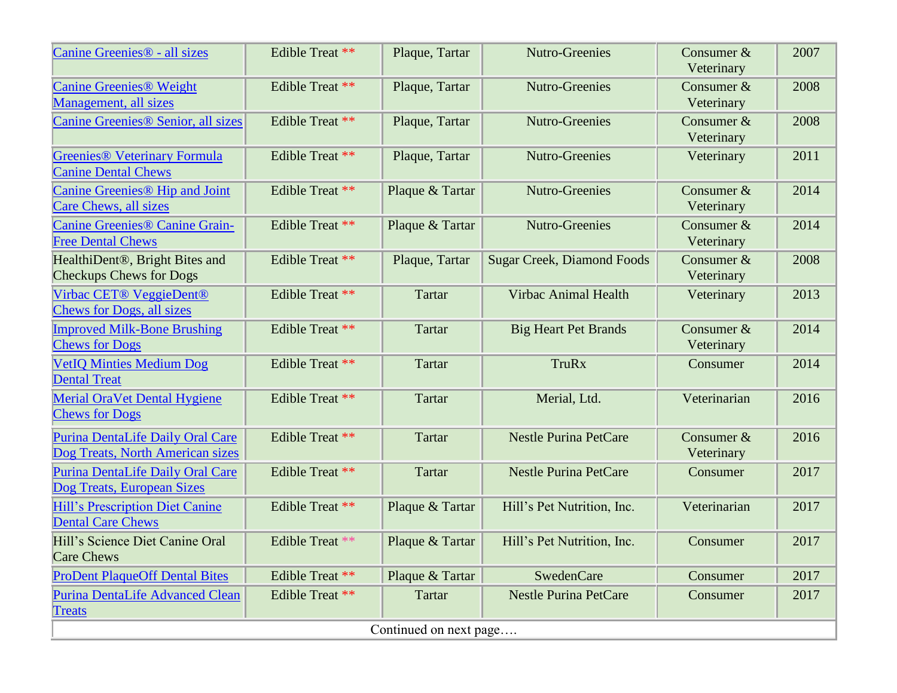| Canine Greenies <sup>®</sup> - all sizes                                      | Edible Treat ** | Plaque, Tartar  | <b>Nutro-Greenies</b>             | Consumer $&$<br>Veterinary | 2007 |  |  |
|-------------------------------------------------------------------------------|-----------------|-----------------|-----------------------------------|----------------------------|------|--|--|
| <b>Canine Greenies® Weight</b><br>Management, all sizes                       | Edible Treat ** | Plaque, Tartar  | <b>Nutro-Greenies</b>             | Consumer $&$<br>Veterinary | 2008 |  |  |
| Canine Greenies <sup>®</sup> Senior, all sizes                                | Edible Treat ** | Plaque, Tartar  | <b>Nutro-Greenies</b>             | Consumer $&$<br>Veterinary | 2008 |  |  |
| <b>Greenies® Veterinary Formula</b><br><b>Canine Dental Chews</b>             | Edible Treat ** | Plaque, Tartar  | <b>Nutro-Greenies</b>             | Veterinary                 | 2011 |  |  |
| Canine Greenies <sup>®</sup> Hip and Joint<br><b>Care Chews, all sizes</b>    | Edible Treat ** | Plaque & Tartar | <b>Nutro-Greenies</b>             | Consumer $&$<br>Veterinary | 2014 |  |  |
| <b>Canine Greenies® Canine Grain-</b><br><b>Free Dental Chews</b>             | Edible Treat ** | Plaque & Tartar | <b>Nutro-Greenies</b>             | Consumer &<br>Veterinary   | 2014 |  |  |
| HealthiDent <sup>®</sup> , Bright Bites and<br><b>Checkups Chews for Dogs</b> | Edible Treat ** | Plaque, Tartar  | <b>Sugar Creek, Diamond Foods</b> | Consumer $&$<br>Veterinary | 2008 |  |  |
| Virbac CET® VeggieDent®<br><b>Chews for Dogs, all sizes</b>                   | Edible Treat ** | Tartar          | <b>Virbac Animal Health</b>       | Veterinary                 | 2013 |  |  |
| <b>Improved Milk-Bone Brushing</b><br><b>Chews for Dogs</b>                   | Edible Treat ** | <b>Tartar</b>   | <b>Big Heart Pet Brands</b>       | Consumer &<br>Veterinary   | 2014 |  |  |
| <b>VetIQ Minties Medium Dog</b><br><b>Dental Treat</b>                        | Edible Treat ** | <b>Tartar</b>   | <b>TruRx</b>                      | Consumer                   | 2014 |  |  |
| <b>Merial OraVet Dental Hygiene</b><br><b>Chews for Dogs</b>                  | Edible Treat ** | Tartar          | Merial, Ltd.                      | Veterinarian               | 2016 |  |  |
| Purina DentaLife Daily Oral Care<br>Dog Treats, North American sizes          | Edible Treat ** | <b>Tartar</b>   | <b>Nestle Purina PetCare</b>      | Consumer &<br>Veterinary   | 2016 |  |  |
| Purina DentaLife Daily Oral Care<br>Dog Treats, European Sizes                | Edible Treat ** | <b>Tartar</b>   | <b>Nestle Purina PetCare</b>      | Consumer                   | 2017 |  |  |
| Hill's Prescription Diet Canine<br><b>Dental Care Chews</b>                   | Edible Treat ** | Plaque & Tartar | Hill's Pet Nutrition, Inc.        | Veterinarian               | 2017 |  |  |
| Hill's Science Diet Canine Oral<br><b>Care Chews</b>                          | Edible Treat ** | Plaque & Tartar | Hill's Pet Nutrition, Inc.        | Consumer                   | 2017 |  |  |
| <b>ProDent PlaqueOff Dental Bites</b>                                         | Edible Treat ** | Plaque & Tartar | <b>SwedenCare</b>                 | Consumer                   | 2017 |  |  |
| Purina DentaLife Advanced Clean<br><b>Treats</b>                              | Edible Treat ** | <b>Tartar</b>   | <b>Nestle Purina PetCare</b>      | Consumer                   | 2017 |  |  |
| Continued on next page                                                        |                 |                 |                                   |                            |      |  |  |